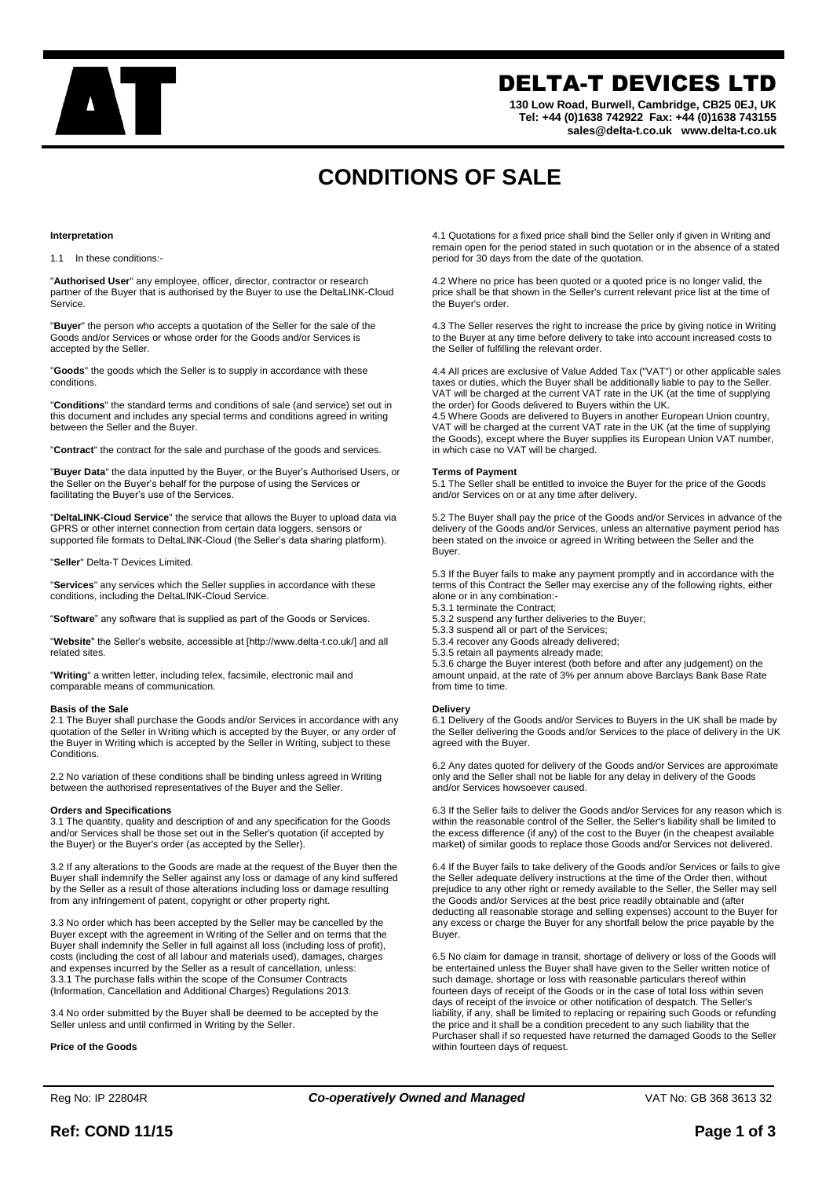

# DELTA-T DEVICES LTD

**130 Low Road, Burwell, Cambridge, CB25 0EJ, UK Tel: +44 (0)1638 742922 Fax: +44 (0)1638 743155 sales@delta-t.co.uk www.delta-t.co.uk**

# **CONDITIONS OF SALE**

## **Interpretation**

1.1 In these conditions:-

"**Authorised User**" any employee, officer, director, contractor or research partner of the Buyer that is authorised by the Buyer to use the DeltaLINK-Cloud Service.

"**Buyer**" the person who accepts a quotation of the Seller for the sale of the Goods and/or Services or whose order for the Goods and/or Services is accepted by the Seller.

"**Goods**" the goods which the Seller is to supply in accordance with these conditions.

"**Conditions**" the standard terms and conditions of sale (and service) set out in this document and includes any special terms and conditions agreed in writing between the Seller and the Buyer.

"**Contract**" the contract for the sale and purchase of the goods and services.

"**Buyer Data**" the data inputted by the Buyer, or the Buyer's Authorised Users, or the Seller on the Buyer's behalf for the purpose of using the Services or facilitating the Buyer's use of the Services.

"**DeltaLINK-Cloud Service**" the service that allows the Buyer to upload data via GPRS or other internet connection from certain data loggers, sensors or supported file formats to DeltaLINK-Cloud (the Seller's data sharing platform).

"**Seller**" Delta-T Devices Limited.

"**Services**" any services which the Seller supplies in accordance with these conditions, including the DeltaLINK-Cloud Service.

"**Software**" any software that is supplied as part of the Goods or Services.

"**Website**" the Seller's website, accessible at [http://www.delta-t.co.uk/] and all related sites.

"**Writing**" a written letter, including telex, facsimile, electronic mail and comparable means of communication.

#### **Basis of the Sale**

2.1 The Buyer shall purchase the Goods and/or Services in accordance with any quotation of the Seller in Writing which is accepted by the Buyer, or any order of the Buyer in Writing which is accepted by the Seller in Writing, subject to these Conditions.

2.2 No variation of these conditions shall be binding unless agreed in Writing between the authorised representatives of the Buyer and the Seller.

#### **Orders and Specifications**

3.1 The quantity, quality and description of and any specification for the Goods and/or Services shall be those set out in the Seller's quotation (if accepted by the Buyer) or the Buyer's order (as accepted by the Seller).

3.2 If any alterations to the Goods are made at the request of the Buyer then the Buyer shall indemnify the Seller against any loss or damage of any kind suffered by the Seller as a result of those alterations including loss or damage resulting from any infringement of patent, copyright or other property right.

3.3 No order which has been accepted by the Seller may be cancelled by the Buyer except with the agreement in Writing of the Seller and on terms that the Buyer shall indemnify the Seller in full against all loss (including loss of profit), costs (including the cost of all labour and materials used), damages, charges and expenses incurred by the Seller as a result of cancellation, unless: 3.3.1 The purchase falls within the scope of the Consumer Contracts (Information, Cancellation and Additional Charges) Regulations 2013.

3.4 No order submitted by the Buyer shall be deemed to be accepted by the Seller unless and until confirmed in Writing by the Seller.

**Price of the Goods**

4.1 Quotations for a fixed price shall bind the Seller only if given in Writing and remain open for the period stated in such quotation or in the absence of a stated period for 30 days from the date of the quotation.

4.2 Where no price has been quoted or a quoted price is no longer valid, the price shall be that shown in the Seller's current relevant price list at the time of the Buyer's order.

4.3 The Seller reserves the right to increase the price by giving notice in Writing to the Buyer at any time before delivery to take into account increased costs to the Seller of fulfilling the relevant order.

4.4 All prices are exclusive of Value Added Tax ("VAT") or other applicable sales taxes or duties, which the Buyer shall be additionally liable to pay to the Seller. VAT will be charged at the current VAT rate in the UK (at the time of supplying the order) for Goods delivered to Buyers within the UK.

4.5 Where Goods are delivered to Buyers in another European Union country, VAT will be charged at the current VAT rate in the UK (at the time of supplying the Goods), except where the Buyer supplies its European Union VAT number, in which case no VAT will be charged.

#### **Terms of Payment**

5.1 The Seller shall be entitled to invoice the Buyer for the price of the Goods and/or Services on or at any time after delivery.

5.2 The Buyer shall pay the price of the Goods and/or Services in advance of the delivery of the Goods and/or Services, unless an alternative payment period has been stated on the invoice or agreed in Writing between the Seller and the Buyer.

5.3 If the Buyer fails to make any payment promptly and in accordance with the terms of this Contract the Seller may exercise any of the following rights, either alone or in any combination:-

5.3.1 terminate the Contract;

- 5.3.2 suspend any further deliveries to the Buyer;
- 5.3.3 suspend all or part of the Services; 5.3.4 recover any Goods already delivered;

5.3.5 retain all payments already made;

5.3.6 charge the Buyer interest (both before and after any judgement) on the amount unpaid, at the rate of 3% per annum above Barclays Bank Base Rate from time to time.

# **Delivery**

6.1 Delivery of the Goods and/or Services to Buyers in the UK shall be made by the Seller delivering the Goods and/or Services to the place of delivery in the UK agreed with the Buyer.

6.2 Any dates quoted for delivery of the Goods and/or Services are approximate only and the Seller shall not be liable for any delay in delivery of the Goods and/or Services howsoever caused.

6.3 If the Seller fails to deliver the Goods and/or Services for any reason which is within the reasonable control of the Seller, the Seller's liability shall be limited to the excess difference (if any) of the cost to the Buyer (in the cheapest available market) of similar goods to replace those Goods and/or Services not delivered.

6.4 If the Buyer fails to take delivery of the Goods and/or Services or fails to give the Seller adequate delivery instructions at the time of the Order then, without prejudice to any other right or remedy available to the Seller, the Seller may sell the Goods and/or Services at the best price readily obtainable and (after deducting all reasonable storage and selling expenses) account to the Buyer for any excess or charge the Buyer for any shortfall below the price payable by the Buyer.

6.5 No claim for damage in transit, shortage of delivery or loss of the Goods will be entertained unless the Buyer shall have given to the Seller written notice of such damage, shortage or loss with reasonable particulars thereof within fourteen days of receipt of the Goods or in the case of total loss within seven days of receipt of the invoice or other notification of despatch. The Seller's liability, if any, shall be limited to replacing or repairing such Goods or refunding the price and it shall be a condition precedent to any such liability that the Purchaser shall if so requested have returned the damaged Goods to the Seller within fourteen days of request.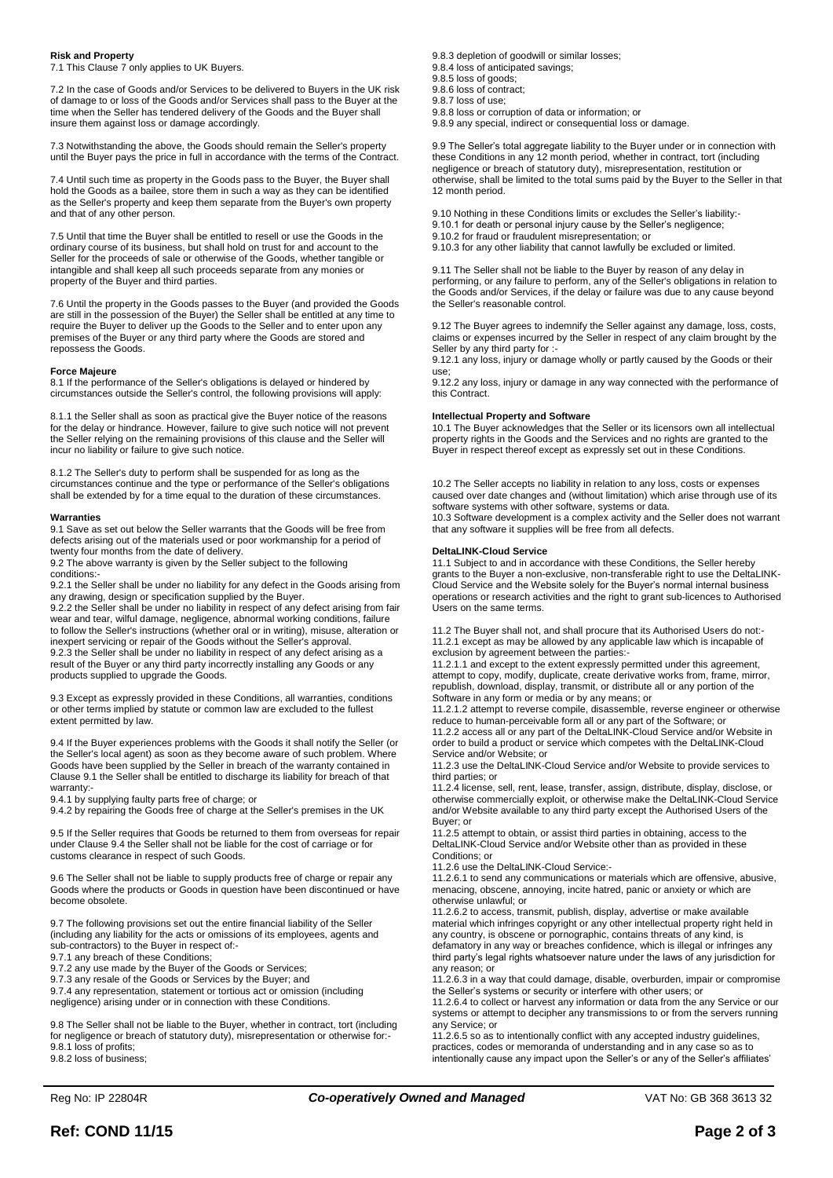# **Risk and Property**

7.1 This Clause 7 only applies to UK Buyers.

7.2 In the case of Goods and/or Services to be delivered to Buyers in the UK risk of damage to or loss of the Goods and/or Services shall pass to the Buyer at the time when the Seller has tendered delivery of the Goods and the Buyer shall insure them against loss or damage accordingly.

7.3 Notwithstanding the above, the Goods should remain the Seller's property until the Buyer pays the price in full in accordance with the terms of the Contract.

7.4 Until such time as property in the Goods pass to the Buyer, the Buyer shall hold the Goods as a bailee, store them in such a way as they can be identified as the Seller's property and keep them separate from the Buyer's own property and that of any other person.

7.5 Until that time the Buyer shall be entitled to resell or use the Goods in the ordinary course of its business, but shall hold on trust for and account to the Seller for the proceeds of sale or otherwise of the Goods, whether tangible or intangible and shall keep all such proceeds separate from any monies or property of the Buyer and third parties.

7.6 Until the property in the Goods passes to the Buyer (and provided the Goods are still in the possession of the Buyer) the Seller shall be entitled at any time to require the Buyer to deliver up the Goods to the Seller and to enter upon any premises of the Buyer or any third party where the Goods are stored and repossess the Goods.

### **Force Majeure**

8.1 If the performance of the Seller's obligations is delayed or hindered by circumstances outside the Seller's control, the following provisions will apply:

8.1.1 the Seller shall as soon as practical give the Buyer notice of the reasons for the delay or hindrance. However, failure to give such notice will not prevent the Seller relying on the remaining provisions of this clause and the Seller will incur no liability or failure to give such notice.

8.1.2 The Seller's duty to perform shall be suspended for as long as the circumstances continue and the type or performance of the Seller's obligations shall be extended by for a time equal to the duration of these circumstances.

#### **Warranties**

9.1 Save as set out below the Seller warrants that the Goods will be free from defects arising out of the materials used or poor workmanship for a period of twenty four months from the date of delivery.

9.2 The above warranty is given by the Seller subject to the following conditions:-

9.2.1 the Seller shall be under no liability for any defect in the Goods arising from any drawing, design or specification supplied by the Buyer.

9.2.2 the Seller shall be under no liability in respect of any defect arising from fair wear and tear, wilful damage, negligence, abnormal working conditions, failure to follow the Seller's instructions (whether oral or in writing), misuse, alteration or inexpert servicing or repair of the Goods without the Seller's approval. 9.2.3 the Seller shall be under no liability in respect of any defect arising as a result of the Buyer or any third party incorrectly installing any Goods or any products supplied to upgrade the Goods.

9.3 Except as expressly provided in these Conditions, all warranties, conditions or other terms implied by statute or common law are excluded to the fullest extent permitted by law.

9.4 If the Buyer experiences problems with the Goods it shall notify the Seller (or the Seller's local agent) as soon as they become aware of such problem. Where Goods have been supplied by the Seller in breach of the warranty contained in Clause 9.1 the Seller shall be entitled to discharge its liability for breach of that warranty:-

9.4.1 by supplying faulty parts free of charge; or

9.4.2 by repairing the Goods free of charge at the Seller's premises in the UK

9.5 If the Seller requires that Goods be returned to them from overseas for repair under Clause 9.4 the Seller shall not be liable for the cost of carriage or for customs clearance in respect of such Goods.

9.6 The Seller shall not be liable to supply products free of charge or repair any Goods where the products or Goods in question have been discontinued or have become obsolete.

9.7 The following provisions set out the entire financial liability of the Seller (including any liability for the acts or omissions of its employees, agents and sub-contractors) to the Buyer in respect of:-

9.7.1 any breach of these Conditions;

9.7.2 any use made by the Buyer of the Goods or Services;

9.7.3 any resale of the Goods or Services by the Buyer; and

9.7.4 any representation, statement or tortious act or omission (including negligence) arising under or in connection with these Conditions.

9.8 The Seller shall not be liable to the Buyer, whether in contract, tort (including for negligence or breach of statutory duty), misrepresentation or otherwise for: 9.8.1 loss of profits;

9.8.2 loss of business;

9.8.3 depletion of goodwill or similar losses;

9.8.4 loss of anticipated savings; 9.8.5 loss of goods;

9.8.6 loss of contract;

9.8.7 loss of use;

9.8.8 loss or corruption of data or information; or 9.8.9 any special, indirect or consequential loss or damage.

9.9 The Seller's total aggregate liability to the Buyer under or in connection with these Conditions in any 12 month period, whether in contract, tort (including negligence or breach of statutory duty), misrepresentation, restitution or otherwise, shall be limited to the total sums paid by the Buyer to the Seller in that 12 month period.

9.10 Nothing in these Conditions limits or excludes the Seller's liability:-

9.10.1 for death or personal injury cause by the Seller's negligence;

9.10.2 for fraud or fraudulent misrepresentation; or

9.10.3 for any other liability that cannot lawfully be excluded or limited.

9.11 The Seller shall not be liable to the Buyer by reason of any delay in performing, or any failure to perform, any of the Seller's obligations in relation to the Goods and/or Services, if the delay or failure was due to any cause beyond the Seller's reasonable control.

9.12 The Buyer agrees to indemnify the Seller against any damage, loss, costs, claims or expenses incurred by the Seller in respect of any claim brought by the Seller by any third party for :-

9.12.1 any loss, injury or damage wholly or partly caused by the Goods or their use;

9.12.2 any loss, injury or damage in any way connected with the performance of this Contract.

#### **Intellectual Property and Software**

10.1 The Buyer acknowledges that the Seller or its licensors own all intellectual property rights in the Goods and the Services and no rights are granted to the Buyer in respect thereof except as expressly set out in these Conditions.

10.2 The Seller accepts no liability in relation to any loss, costs or expenses caused over date changes and (without limitation) which arise through use of its software systems with other software, systems or data. 10.3 Software development is a complex activity and the Seller does not warrant that any software it supplies will be free from all defects.

#### **DeltaLINK-Cloud Service**

11.1 Subject to and in accordance with these Conditions, the Seller hereby grants to the Buyer a non-exclusive, non-transferable right to use the DeltaLINK-Cloud Service and the Website solely for the Buyer's normal internal business operations or research activities and the right to grant sub-licences to Authorised Users on the same terms.

11.2 The Buyer shall not, and shall procure that its Authorised Users do not:- 11.2.1 except as may be allowed by any applicable law which is incapable of exclusion by agreement between the parties:-

11.2.1.1 and except to the extent expressly permitted under this agreement, attempt to copy, modify, duplicate, create derivative works from, frame, mirror, republish, download, display, transmit, or distribute all or any portion of the Software in any form or media or by any means; or

11.2.1.2 attempt to reverse compile, disassemble, reverse engineer or otherwise reduce to human-perceivable form all or any part of the Software; or

11.2.2 access all or any part of the DeltaLINK-Cloud Service and/or Website in order to build a product or service which competes with the DeltaLINK-Cloud Service and/or Website; or

11.2.3 use the DeltaLINK-Cloud Service and/or Website to provide services to third parties; or

11.2.4 license, sell, rent, lease, transfer, assign, distribute, display, disclose, or otherwise commercially exploit, or otherwise make the DeltaLINK-Cloud Service and/or Website available to any third party except the Authorised Users of the Buyer; or

11.2.5 attempt to obtain, or assist third parties in obtaining, access to the DeltaLINK-Cloud Service and/or Website other than as provided in these Conditions; or

11.2.6 use the DeltaLINK-Cloud Service:-

11.2.6.1 to send any communications or materials which are offensive, abusive, menacing, obscene, annoying, incite hatred, panic or anxiety or which are otherwise unlawful; or

11.2.6.2 to access, transmit, publish, display, advertise or make available material which infringes copyright or any other intellectual property right held in any country, is obscene or pornographic, contains threats of any kind, is defamatory in any way or breaches confidence, which is illegal or infringes any third party's legal rights whatsoever nature under the laws of any jurisdiction for any reason; or

11.2.6.3 in a way that could damage, disable, overburden, impair or compromise the Seller's systems or security or interfere with other users; or

11.2.6.4 to collect or harvest any information or data from the any Service or our systems or attempt to decipher any transmissions to or from the servers running any Service; or

11.2.6.5 so as to intentionally conflict with any accepted industry guidelines, practices, codes or memoranda of understanding and in any case so as to intentionally cause any impact upon the Seller's or any of the Seller's affiliates'